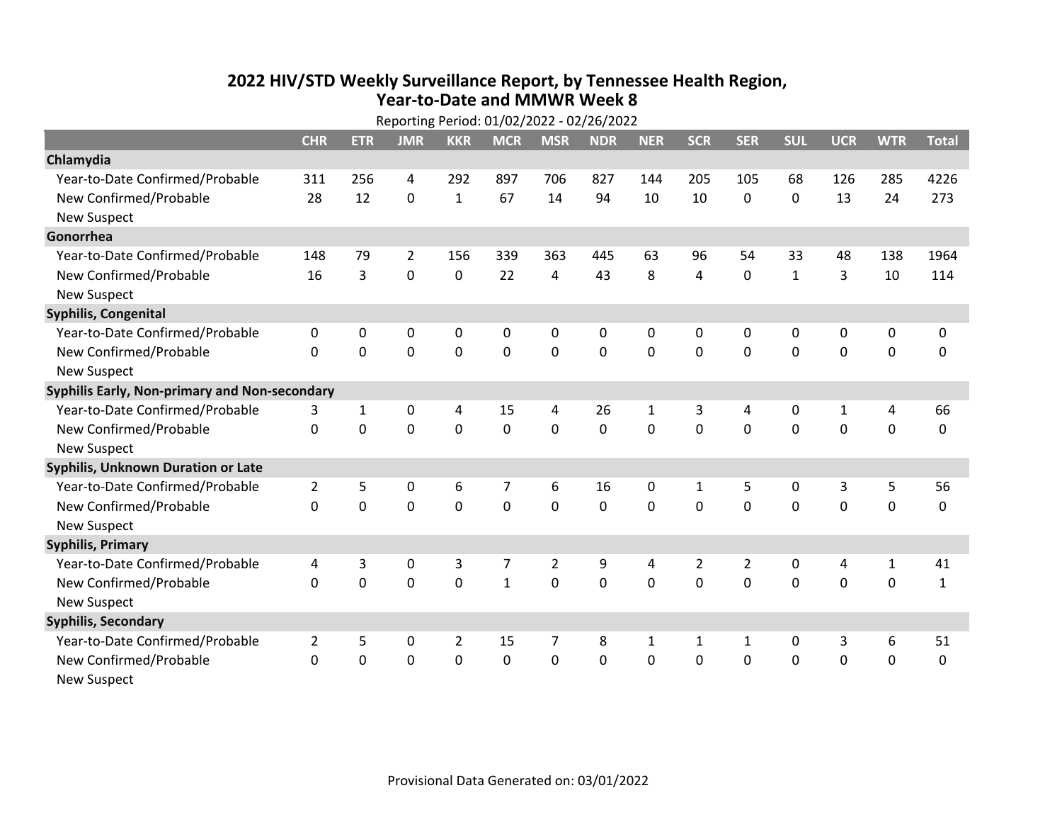## **2022 HIV /STD Weekly Surveillance Report, by Tennessee Health Region, Year‐to‐Date and MMWR Week 8**

|                                               | Reporting Period: 01/02/2022 - 02/26/2022 |                |                |                |                |                |             |              |                |                |              |              |              |              |
|-----------------------------------------------|-------------------------------------------|----------------|----------------|----------------|----------------|----------------|-------------|--------------|----------------|----------------|--------------|--------------|--------------|--------------|
|                                               | <b>CHR</b>                                | <b>ETR</b>     | <b>JMR</b>     | <b>KKR</b>     | <b>MCR</b>     | <b>MSR</b>     | <b>NDR</b>  | <b>NER</b>   | <b>SCR</b>     | <b>SER</b>     | <b>SUL</b>   | <b>UCR</b>   | <b>WTR</b>   | <b>Total</b> |
| Chlamydia                                     |                                           |                |                |                |                |                |             |              |                |                |              |              |              |              |
| Year-to-Date Confirmed/Probable               | 311                                       | 256            | 4              | 292            | 897            | 706            | 827         | 144          | 205            | 105            | 68           | 126          | 285          | 4226         |
| New Confirmed/Probable                        | 28                                        | 12             | 0              | $\mathbf{1}$   | 67             | 14             | 94          | 10           | 10             | 0              | 0            | 13           | 24           | 273          |
| <b>New Suspect</b>                            |                                           |                |                |                |                |                |             |              |                |                |              |              |              |              |
| Gonorrhea                                     |                                           |                |                |                |                |                |             |              |                |                |              |              |              |              |
| Year-to-Date Confirmed/Probable               | 148                                       | 79             | $\overline{2}$ | 156            | 339            | 363            | 445         | 63           | 96             | 54             | 33           | 48           | 138          | 1964         |
| New Confirmed/Probable                        | 16                                        | $\overline{3}$ | 0              | 0              | 22             | 4              | 43          | 8            | 4              | $\mathbf 0$    | $\mathbf{1}$ | 3            | 10           | 114          |
| <b>New Suspect</b>                            |                                           |                |                |                |                |                |             |              |                |                |              |              |              |              |
| <b>Syphilis, Congenital</b>                   |                                           |                |                |                |                |                |             |              |                |                |              |              |              |              |
| Year-to-Date Confirmed/Probable               | 0                                         | 0              | 0              | 0              | 0              | 0              | 0           | $\mathbf 0$  | 0              | $\mathbf 0$    | 0            | 0            | $\pmb{0}$    | 0            |
| New Confirmed/Probable                        | $\Omega$                                  | $\mathbf 0$    | $\mathbf 0$    | 0              | 0              | $\mathbf 0$    | $\mathbf 0$ | 0            | 0              | $\mathbf 0$    | 0            | $\mathbf 0$  | $\mathbf 0$  | 0            |
| <b>New Suspect</b>                            |                                           |                |                |                |                |                |             |              |                |                |              |              |              |              |
| Syphilis Early, Non-primary and Non-secondary |                                           |                |                |                |                |                |             |              |                |                |              |              |              |              |
| Year-to-Date Confirmed/Probable               | 3                                         | $\mathbf{1}$   | 0              | 4              | 15             | 4              | 26          | $\mathbf{1}$ | 3              | 4              | 0            | $\mathbf{1}$ | 4            | 66           |
| New Confirmed/Probable                        | 0                                         | $\mathbf 0$    | $\mathbf 0$    | 0              | $\mathbf 0$    | $\mathbf 0$    | 0           | $\mathbf 0$  | $\mathbf 0$    | $\mathbf 0$    | $\mathbf 0$  | $\mathbf 0$  | $\mathbf 0$  | 0            |
| <b>New Suspect</b>                            |                                           |                |                |                |                |                |             |              |                |                |              |              |              |              |
| Syphilis, Unknown Duration or Late            |                                           |                |                |                |                |                |             |              |                |                |              |              |              |              |
| Year-to-Date Confirmed/Probable               | $\overline{2}$                            | 5              | 0              | 6              | 7              | 6              | 16          | 0            | 1              | 5              | 0            | $\mathsf 3$  | 5            | 56           |
| New Confirmed/Probable                        | $\Omega$                                  | $\mathbf 0$    | $\overline{0}$ | 0              | $\mathbf 0$    | $\mathbf 0$    | 0           | $\Omega$     | $\Omega$       | $\mathbf{0}$   | $\mathbf 0$  | $\Omega$     | $\mathbf 0$  | 0            |
| <b>New Suspect</b>                            |                                           |                |                |                |                |                |             |              |                |                |              |              |              |              |
| <b>Syphilis, Primary</b>                      |                                           |                |                |                |                |                |             |              |                |                |              |              |              |              |
| Year-to-Date Confirmed/Probable               | 4                                         | 3              | 0              | 3              | $\overline{7}$ | $\overline{2}$ | 9           | 4            | $\overline{2}$ | $\overline{2}$ | 0            | 4            | $\mathbf{1}$ | 41           |
| New Confirmed/Probable                        | 0                                         | $\mathbf 0$    | $\mathbf 0$    | 0              | $\mathbf{1}$   | 0              | 0           | $\Omega$     | $\Omega$       | $\mathbf 0$    | 0            | 0            | $\mathbf 0$  | $\mathbf{1}$ |
| <b>New Suspect</b>                            |                                           |                |                |                |                |                |             |              |                |                |              |              |              |              |
| <b>Syphilis, Secondary</b>                    |                                           |                |                |                |                |                |             |              |                |                |              |              |              |              |
| Year-to-Date Confirmed/Probable               | $\overline{2}$                            | 5              | 0              | $\overline{2}$ | 15             | 7              | 8           | $\mathbf{1}$ | $\mathbf{1}$   | $\mathbf{1}$   | 0            | 3            | 6            | 51           |
| New Confirmed/Probable                        | 0                                         | $\mathbf 0$    | 0              | 0              | 0              | 0              | 0           | 0            | 0              | $\mathbf 0$    | 0            | 0            | 0            | 0            |
| <b>New Suspect</b>                            |                                           |                |                |                |                |                |             |              |                |                |              |              |              |              |